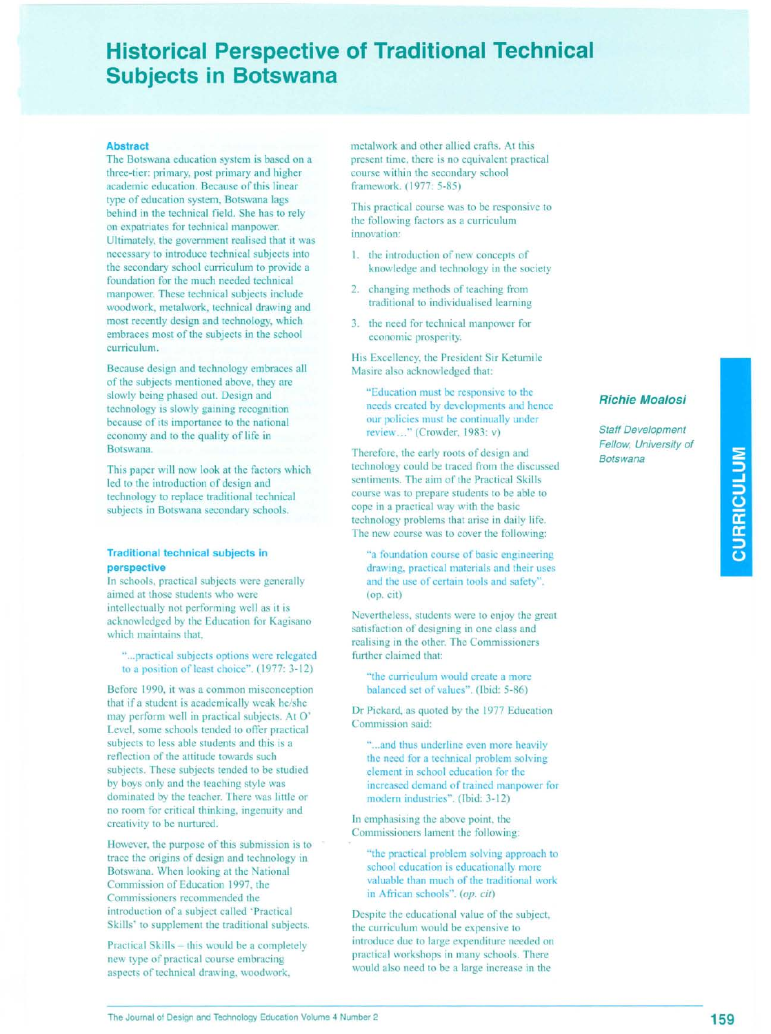# **Historical Perspective of Traditional Technical Subjects in Botswana**

### **Abstract**

The Botswana education system is based on a three-tier: primary, post primary and higher academic education. Because of this linear type of education system, Botswana lags behind in the technical field. She has to rely on expatriates for technical manpower. Ultimately, the government realised that it was necessary to introduce technical subjects into the secondary school curriculum to provide a foundation for the much needed technical manpower. These technical subjects include woodwork, metalwork, technical drawing and most recently design and technology, which embraces most of the subjects in the school curriculum.

Because design and technology embraces all of the subjects mentioned above, they are slowly being phased out. Design and technology is slowly gaining recognition because of its importance to the national economy and to the quality of life in Botswana.

This paper will now look at the factors which led to the introduction of design and technology to replace traditional technical subjects in Botswana secondary schools.

## **Traditional technical subjects in perspective**

In schools, practical subjects were generally aimed at those students who were intellectually not performing well as it is acknowledged by the Education for Kagisano which maintains that,

"...practical subjects options were relegated to a position of least choice". (1977: 3-12)

Before 1990, it was a common misconception that if a student is academically weak he/she may perform well in practical subjects. At 0' Level, some schools tended to offer practical subjects to less able students and this is a reflection of the attitude towards such subjects. These subjects tended to be studied by boys only and the teaching style was dominated by the teacher. There was little or no room for critical thinking, ingenuity and creativity to be nurtured.

However, the purpose of this submission is to trace the origins of design and technology in Botswana. When looking at the National Commission of Education 1997, the Commissioners recommended the introduction of a subject called 'Practical Skills' to supplement the traditional subjects.

Practical Skills - this would be a completely new type of practical course embracing aspects of technical drawing, woodwork,

metalwork and other allied crafts. At this present time, there is no equivalent practical course within the secondary school framework. (1977: 5-85)

This practical course was to be responsive to the following factors as a curriculum innovation:

- I. the introduction of new concepts of knowledge and technology in the society
- 2. changing methods of teaching from traditional to individualised learning
- 3. the need for technical manpower for economic prosperity.

His Excellency, the President Sir Ketumile Masire also acknowledged that:

"Education must be responsive to the needs created by developments and hence our policies must be continually under review..." (Crowder, 1983: v)

Therefore, the early roots of design and technology could be traced from the discussed sentiments. The aim of the Practical Skills course was to prepare students to be able to cope in a practical way with the basic technology problems that arise in daily life. The new course was to cover the following:

"a foundation course of basic engineering drawing, practical materials and their uses and the use of certain tools and safety". (op. cit)

Nevertheless, students were to enjoy the great satisfaction of designing in one class and realising in the other. The Commissioners further claimed that:

"the curriculum would create a more balanced set of values". (Ibid: 5-86)

Dr Pickard, as quoted by the 1977 Education Commission said:

"...and thus underline even more heavily the need for a technical problem solving element in school education for the increased demand of trained manpower for modern industries". (Ibid: 3-12)

In emphasising the above point, the Commissioners lament the following:

"the practical problem solving approach to school education is educationally more valuable than much of the traditional work in African schools". *(op. cit)*

Despite the educational value of the subject, the curriculum would be expensive to introduce due to large expenditure needed on practical workshops in many schools. There would also need to be a large increase in the

# **Richie Moalosi**

*Staff Development Fellow, University of Botswana*